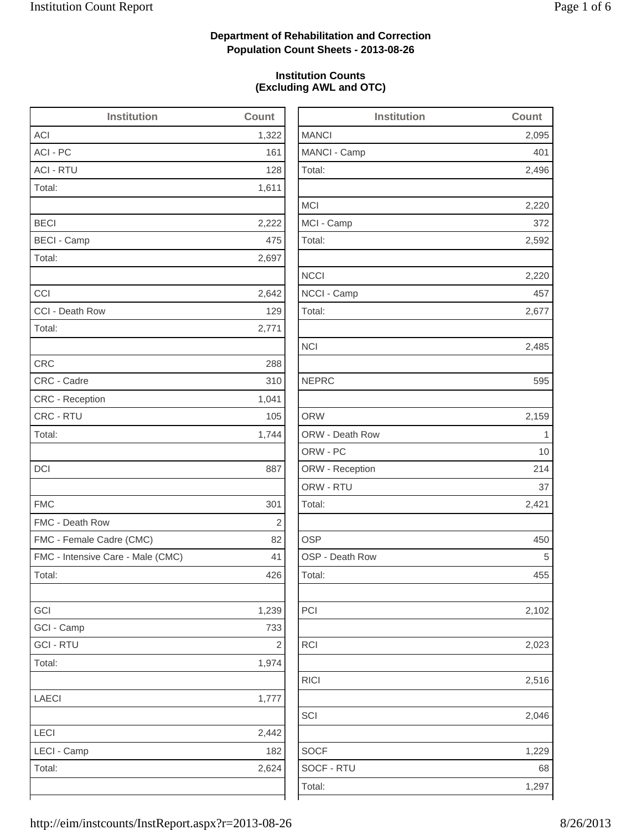2,496

2,220

2,592

2,220

2,485

2,159

2,102

2,023

2,516

1,229

# **Department of Rehabilitation and Correction Population Count Sheets - 2013-08-26**

## **Institution Counts (Excluding AWL and OTC)**

| <b>Institution</b>                | Count      | <b>Institution</b> | Count          |
|-----------------------------------|------------|--------------------|----------------|
| <b>ACI</b>                        | 1,322      | <b>MANCI</b>       | 2,095          |
| ACI - PC                          | 161        | MANCI - Camp       | 401            |
| <b>ACI - RTU</b>                  | 128        | Total:             | 2,496          |
| Total:                            | 1,611      |                    |                |
|                                   |            | <b>MCI</b>         | 2,220          |
| <b>BECI</b>                       | 2,222      | MCI - Camp         | 372            |
| <b>BECI - Camp</b>                | 475        | Total:             | 2,592          |
| Total:                            | 2,697      |                    |                |
|                                   |            | <b>NCCI</b>        | 2,220          |
| CCI                               | 2,642      | NCCI - Camp        | 457            |
| CCI - Death Row                   | 129        | Total:             | 2,677          |
| Total:                            | 2,771      |                    |                |
|                                   |            | <b>NCI</b>         | 2,485          |
| <b>CRC</b>                        | 288        |                    |                |
| CRC - Cadre                       | 310        | <b>NEPRC</b>       | 595            |
| CRC - Reception                   | 1,041      |                    |                |
| CRC - RTU                         | 105        | <b>ORW</b>         | 2,159          |
| Total:                            | 1,744      | ORW - Death Row    | $\overline{1}$ |
|                                   |            | ORW - PC           | 10             |
| <b>DCI</b>                        | 887        | ORW - Reception    | 214            |
|                                   |            | ORW - RTU          | 37             |
| <b>FMC</b>                        | 301        | Total:             | 2,421          |
| FMC - Death Row                   | $\sqrt{2}$ |                    |                |
| FMC - Female Cadre (CMC)          | 82         | <b>OSP</b>         | 450            |
| FMC - Intensive Care - Male (CMC) | 41         | OSP - Death Row    | 5              |
| Total:                            | 426        | Total:             | 455            |
| GCI                               | 1,239      | PCI                | 2,102          |
| GCI - Camp                        | 733        |                    |                |
| <b>GCI-RTU</b>                    | $\sqrt{2}$ | <b>RCI</b>         | 2,023          |
| Total:                            | 1,974      |                    |                |
|                                   |            | <b>RICI</b>        | 2,516          |
| <b>LAECI</b>                      | 1,777      |                    |                |
|                                   |            | SCI                | 2,046          |
| LECI                              | 2,442      |                    |                |
| LECI - Camp                       | 182        | <b>SOCF</b>        | 1,229          |
| Total:                            | 2,624      | SOCF - RTU         | 68             |
|                                   |            | Total:             | 1,297          |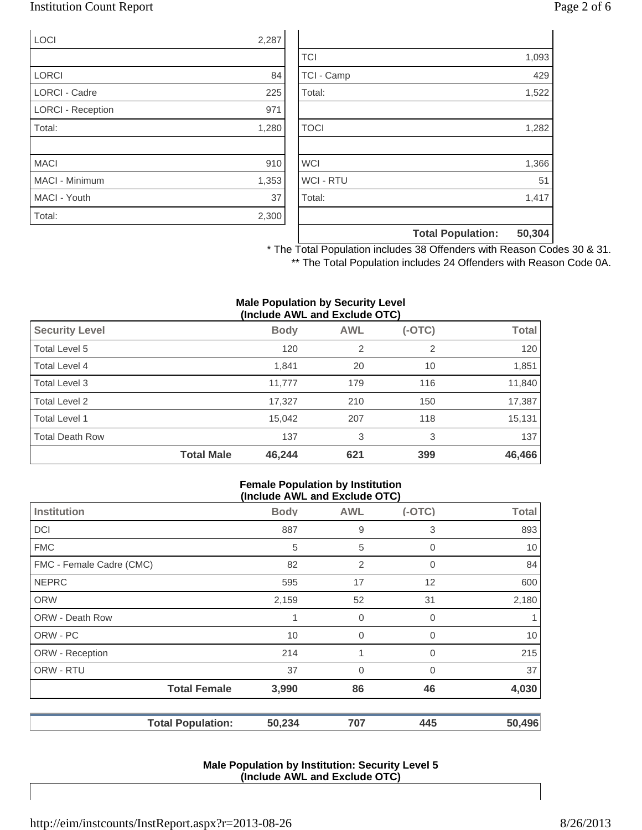## Institution Count Report Page 2 of 6

| <b>LOCI</b>              | 2,287 |
|--------------------------|-------|
|                          |       |
| <b>LORCI</b>             | 84    |
| <b>LORCI - Cadre</b>     | 225   |
| <b>LORCI - Reception</b> | 971   |
| Total:                   | 1,280 |
|                          |       |
| <b>MACI</b>              | 910   |
| MACI - Minimum           | 1,353 |
| MACI - Youth             | 37    |
| Total:                   | 2,300 |

|                  | <b>Total Population:</b> | 50,304 |
|------------------|--------------------------|--------|
|                  |                          |        |
| Total:           |                          | 1,417  |
| <b>WCI - RTU</b> |                          | 51     |
| <b>WCI</b>       |                          | 1,366  |
|                  |                          |        |
| <b>TOCI</b>      |                          | 1,282  |
|                  |                          |        |
| Total:           |                          | 1,522  |
| TCI - Camp       |                          | 429    |
| <b>TCI</b>       |                          | 1,093  |

\* The Total Population includes 38 Offenders with Reason Codes 30 & 31. \*\* The Total Population includes 24 Offenders with Reason Code 0A.

#### **Male Population by Security Level (Include AWL and Exclude OTC)**

| <b>Security Level</b>  |                   | <b>Body</b> | <b>AWL</b>     | $(-OTC)$ | <b>Total</b> |
|------------------------|-------------------|-------------|----------------|----------|--------------|
| Total Level 5          |                   | 120         | $\overline{2}$ | 2        | 120          |
| Total Level 4          |                   | 1,841       | 20             | 10       | 1,851        |
| Total Level 3          |                   | 11,777      | 179            | 116      | 11,840       |
| Total Level 2          |                   | 17,327      | 210            | 150      | 17,387       |
| Total Level 1          |                   | 15,042      | 207            | 118      | 15,131       |
| <b>Total Death Row</b> |                   | 137         | 3              | 3        | 137          |
|                        | <b>Total Male</b> | 46,244      | 621            | 399      | 46,466       |

### **Female Population by Institution (Include AWL and Exclude OTC)**

| $(110100C)$ and the column $(010)$ |             |                |             |              |
|------------------------------------|-------------|----------------|-------------|--------------|
| <b>Institution</b>                 | <b>Body</b> | <b>AWL</b>     | $(-OTC)$    | <b>Total</b> |
| <b>DCI</b>                         | 887         | 9              | 3           | 893          |
| <b>FMC</b>                         | 5           | 5              | 0           | 10           |
| FMC - Female Cadre (CMC)           | 82          | 2              | 0           | 84           |
| <b>NEPRC</b>                       | 595         | 17             | 12          | 600          |
| <b>ORW</b>                         | 2,159       | 52             | 31          | 2,180        |
| <b>ORW - Death Row</b>             |             | $\overline{0}$ | $\mathbf 0$ | 1            |
| ORW - PC                           | 10          | $\mathbf 0$    | 0           | 10           |
| ORW - Reception                    | 214         | 4              | $\Omega$    | 215          |
| ORW - RTU                          | 37          | $\overline{0}$ | 0           | 37           |
| <b>Total Female</b>                | 3,990       | 86             | 46          | 4,030        |
| <b>Total Population:</b>           | 50,234      | 707            | 445         | 50,496       |

### **Male Population by Institution: Security Level 5 (Include AWL and Exclude OTC)**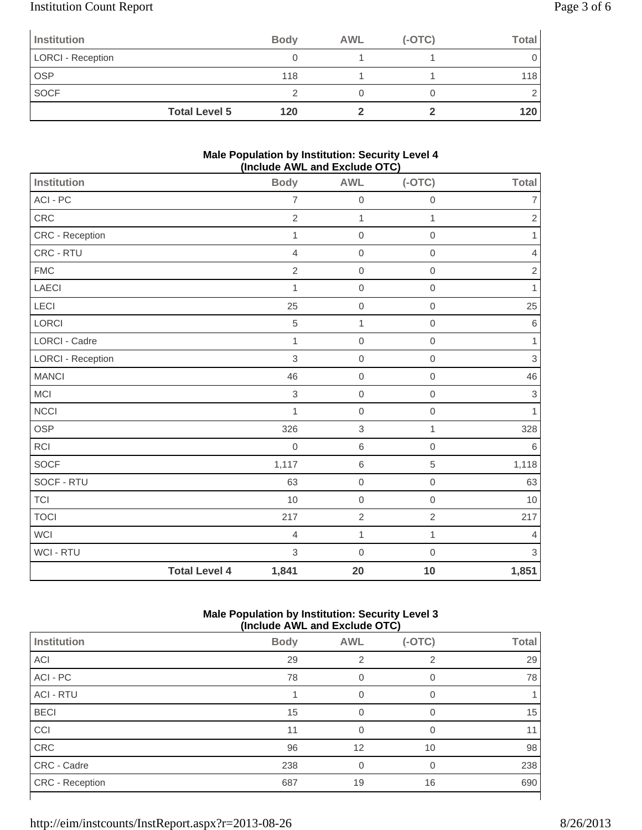# Institution Count Report Page 3 of 6

| Institution              |                      | <b>Body</b> | <b>AWL</b> | $(-OTC)$ | Total |
|--------------------------|----------------------|-------------|------------|----------|-------|
| <b>LORCI - Reception</b> |                      |             |            |          |       |
| OSP                      |                      | 118         |            |          | 118   |
| <b>SOCF</b>              |                      |             |            |          |       |
|                          | <b>Total Level 5</b> | 120         |            |          | 120   |

### **Male Population by Institution: Security Level 4 (Include AWL and Exclude OTC)**

| <b>Institution</b>       |                      | <b>Body</b>    | <b>AWL</b>       | $(-OTC)$            | <b>Total</b>              |
|--------------------------|----------------------|----------------|------------------|---------------------|---------------------------|
| ACI - PC                 |                      | $\overline{7}$ | $\mathbf 0$      | $\mathbf 0$         | $\overline{7}$            |
| CRC                      |                      | $\overline{2}$ | $\mathbf{1}$     | 1                   | $\sqrt{2}$                |
| CRC - Reception          |                      | 1              | $\mathbf 0$      | $\mathbf 0$         | $\mathbf{1}$              |
| CRC - RTU                |                      | $\overline{4}$ | $\mathbf 0$      | $\mathbf 0$         | $\overline{4}$            |
| <b>FMC</b>               |                      | $\overline{2}$ | $\mathbf 0$      | $\mathbf 0$         | $\sqrt{2}$                |
| LAECI                    |                      | 1              | $\mathbf 0$      | $\mathbf 0$         | 1                         |
| LECI                     |                      | 25             | $\mathbf 0$      | $\mathbf 0$         | 25                        |
| LORCI                    |                      | 5              | $\mathbf{1}$     | $\mathsf{O}\xspace$ | $\,6$                     |
| <b>LORCI - Cadre</b>     |                      | $\mathbf{1}$   | $\mathbf 0$      | $\mathbf 0$         | 1                         |
| <b>LORCI - Reception</b> |                      | $\,$ 3 $\,$    | $\,0\,$          | $\mathbf 0$         | $\ensuremath{\mathsf{3}}$ |
| <b>MANCI</b>             |                      | 46             | $\mathbf 0$      | $\mathbf 0$         | 46                        |
| <b>MCI</b>               |                      | $\,$ 3 $\,$    | $\mathbf 0$      | $\mathbf 0$         | $\ensuremath{\mathsf{3}}$ |
| <b>NCCI</b>              |                      | $\mathbf{1}$   | $\mathbf 0$      | $\mathbf 0$         | $\mathbf{1}$              |
| OSP                      |                      | 326            | $\,$ 3 $\,$      | 1                   | 328                       |
| RCI                      |                      | $\overline{0}$ | 6                | $\mathbf 0$         | 6                         |
| SOCF                     |                      | 1,117          | $\,6$            | $\,$ 5 $\,$         | 1,118                     |
| SOCF - RTU               |                      | 63             | $\mathbf 0$      | $\mathbf 0$         | 63                        |
| <b>TCI</b>               |                      | 10             | $\boldsymbol{0}$ | $\mathbf 0$         | 10                        |
| <b>TOCI</b>              |                      | 217            | $\overline{2}$   | $\overline{2}$      | 217                       |
| <b>WCI</b>               |                      | $\overline{4}$ | $\mathbf{1}$     | 1                   | $\overline{4}$            |
| WCI - RTU                |                      | 3              | $\mathbf 0$      | $\mathbf 0$         | $\mathfrak{S}$            |
|                          | <b>Total Level 4</b> | 1,841          | 20               | 10                  | 1,851                     |

## **Male Population by Institution: Security Level 3 (Include AWL and Exclude OTC)**

| $(1101446$ $\sim$ $1116$ and Explays $\sim$ $10$ |             |                |                |              |
|--------------------------------------------------|-------------|----------------|----------------|--------------|
| <b>Institution</b>                               | <b>Body</b> | <b>AWL</b>     | $(-OTC)$       | <b>Total</b> |
| ACI                                              | 29          | $\overline{2}$ | $\overline{2}$ | 29           |
| ACI - PC                                         | 78          |                | 0              | 78           |
| <b>ACI - RTU</b>                                 |             |                | $\Omega$       |              |
| <b>BECI</b>                                      | 15          | $\Omega$       | O              | 15           |
| CCI                                              | 11          | $\Omega$       | 0              | 11           |
| CRC                                              | 96          | 12             | 10             | 98           |
| CRC - Cadre                                      | 238         | 0              | 0              | 238          |
| <b>CRC</b> - Reception                           | 687         | 19             | 16             | 690          |
|                                                  |             |                |                |              |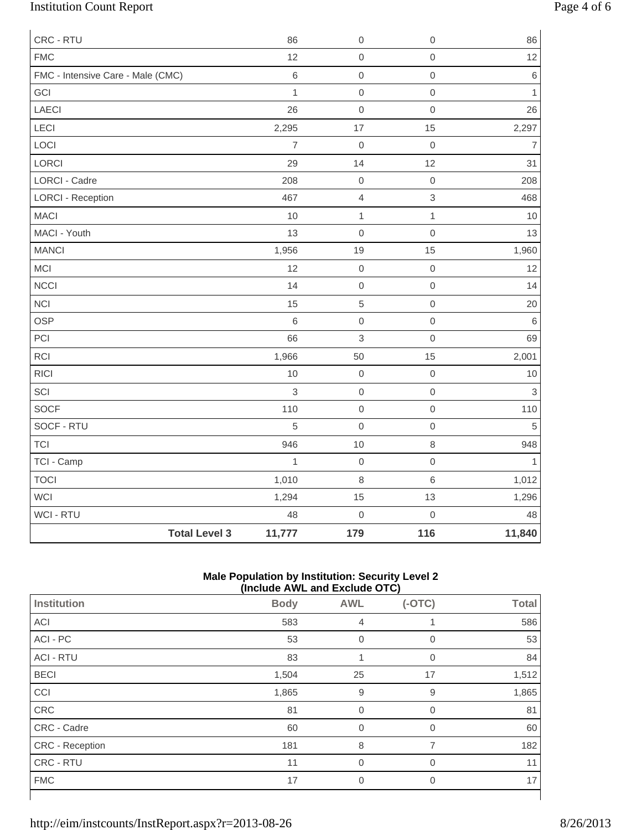# Institution Count Report Page 4 of 6

| CRC - RTU                         |                      | 86             | $\mathbf 0$              | $\mathbf 0$         | 86             |
|-----------------------------------|----------------------|----------------|--------------------------|---------------------|----------------|
| <b>FMC</b>                        |                      | 12             | $\mbox{O}$               | $\mathbf 0$         | 12             |
| FMC - Intensive Care - Male (CMC) |                      | $\,6\,$        | $\mathbf 0$              | $\mathsf{O}\xspace$ | $\,6\,$        |
| GCI                               |                      | $\mathbf{1}$   | $\mathsf{O}\xspace$      | $\mathsf{O}\xspace$ | $\mathbf{1}$   |
| LAECI                             |                      | 26             | $\mathbf 0$              | $\mathbf 0$         | 26             |
| LECI                              |                      | 2,295          | 17                       | 15                  | 2,297          |
| LOCI                              |                      | $\overline{7}$ | $\mathbf 0$              | $\mathbf 0$         | $\overline{7}$ |
| LORCI                             |                      | 29             | 14                       | 12                  | 31             |
| <b>LORCI - Cadre</b>              |                      | 208            | $\boldsymbol{0}$         | $\mathbf 0$         | 208            |
| <b>LORCI - Reception</b>          |                      | 467            | $\overline{\mathcal{L}}$ | $\,$ 3 $\,$         | 468            |
| <b>MACI</b>                       |                      | 10             | $\mathbf{1}$             | $\mathbf{1}$        | 10             |
| MACI - Youth                      |                      | 13             | $\mbox{O}$               | $\mbox{O}$          | 13             |
| <b>MANCI</b>                      |                      | 1,956          | 19                       | 15                  | 1,960          |
| MCI                               |                      | 12             | $\mathbf 0$              | $\mathsf{O}\xspace$ | 12             |
| <b>NCCI</b>                       |                      | 14             | $\mathbf 0$              | $\mathsf{O}\xspace$ | 14             |
| <b>NCI</b>                        |                      | 15             | $\sqrt{5}$               | $\mathbf 0$         | 20             |
| <b>OSP</b>                        |                      | $\,$ 6         | $\mathbf 0$              | $\mbox{O}$          | $\,6\,$        |
| PCI                               |                      | 66             | 3                        | $\mathbf 0$         | 69             |
| <b>RCI</b>                        |                      | 1,966          | 50                       | 15                  | 2,001          |
| <b>RICI</b>                       |                      | 10             | $\mathbf 0$              | $\mathbf 0$         | $10$           |
| SCI                               |                      | $\mathfrak{S}$ | $\mathbf 0$              | $\mathsf{O}\xspace$ | $\,$ 3 $\,$    |
| SOCF                              |                      | 110            | $\mbox{O}$               | $\mbox{O}$          | 110            |
| SOCF - RTU                        |                      | 5              | $\mathbf 0$              | $\mbox{O}$          | $\sqrt{5}$     |
| <b>TCI</b>                        |                      | 946            | 10                       | $\,8\,$             | 948            |
| TCI - Camp                        |                      | $\mathbf{1}$   | $\mathbf 0$              | $\mathsf{O}\xspace$ | $\mathbf{1}$   |
| <b>TOCI</b>                       |                      | 1,010          | 8                        | $\,6$               | 1,012          |
| WCI                               |                      | 1,294          | 15                       | 13                  | 1,296          |
| WCI - RTU                         |                      | 48             | $\mathbf 0$              | $\mathbf 0$         | 48             |
|                                   | <b>Total Level 3</b> | 11,777         | 179                      | 116                 | 11,840         |

### **Male Population by Institution: Security Level 2 (Include AWL and Exclude OTC)**

|                  | $($ mclude $\pi$ ive and exclude $\sigma$ i $\sigma$ |                |                |              |
|------------------|------------------------------------------------------|----------------|----------------|--------------|
| Institution      | <b>Body</b>                                          | <b>AWL</b>     | $(-OTC)$       | <b>Total</b> |
| <b>ACI</b>       | 583                                                  | 4              |                | 586          |
| ACI - PC         | 53                                                   | $\overline{0}$ | $\overline{0}$ | 53           |
| <b>ACI - RTU</b> | 83                                                   |                | 0              | 84           |
| <b>BECI</b>      | 1,504                                                | 25             | 17             | 1,512        |
| CCI              | 1,865                                                | 9              | 9              | 1,865        |
| CRC              | 81                                                   | 0              | $\mathbf 0$    | 81           |
| CRC - Cadre      | 60                                                   | $\overline{0}$ | 0              | 60           |
| CRC - Reception  | 181                                                  | 8              | $\overline{7}$ | 182          |
| CRC - RTU        | 11                                                   | $\Omega$       | $\Omega$       | 11           |
| <b>FMC</b>       | 17                                                   | $\mathbf 0$    | $\overline{0}$ | 17           |
|                  |                                                      |                |                |              |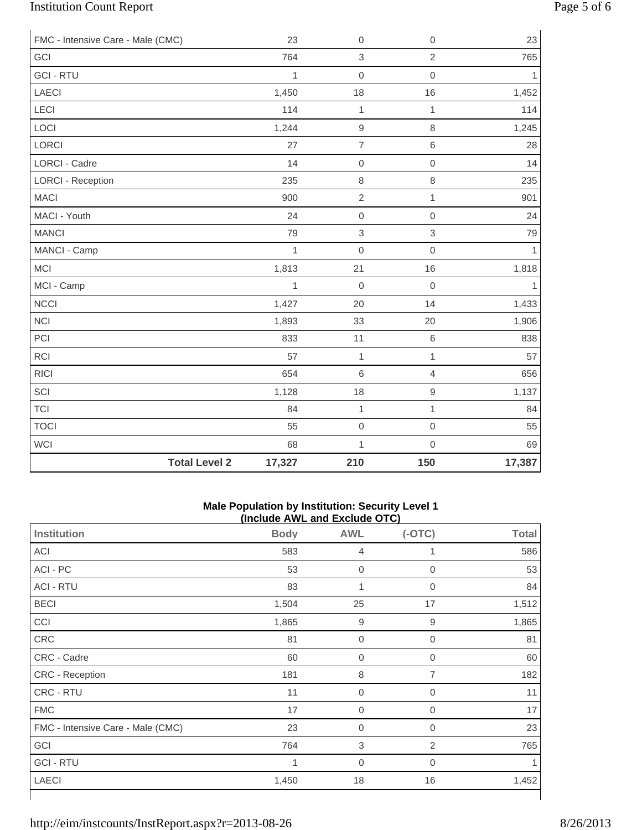# Institution Count Report Page 5 of 6

| FMC - Intensive Care - Male (CMC) |                      | 23           | $\mathbf 0$    | $\mathbf 0$         | 23           |
|-----------------------------------|----------------------|--------------|----------------|---------------------|--------------|
| GCI                               |                      | 764          | $\,$ 3 $\,$    | $\overline{2}$      | 765          |
| <b>GCI-RTU</b>                    |                      | $\mathbf{1}$ | $\mathbf 0$    | $\mathbf 0$         | $\mathbf{1}$ |
| LAECI                             |                      | 1,450        | 18             | 16                  | 1,452        |
| LECI                              |                      | 114          | 1              | 1                   | 114          |
| LOCI                              |                      | 1,244        | $\hbox{9}$     | 8                   | 1,245        |
| LORCI                             |                      | 27           | $\overline{7}$ | 6                   | 28           |
| LORCI - Cadre                     |                      | 14           | $\mathbf 0$    | $\mathbf 0$         | 14           |
| <b>LORCI - Reception</b>          |                      | 235          | $\,8\,$        | $\,8\,$             | 235          |
| <b>MACI</b>                       |                      | 900          | $\overline{c}$ | $\mathbf{1}$        | 901          |
| MACI - Youth                      |                      | 24           | $\mathbf 0$    | $\mathsf{O}\xspace$ | 24           |
| <b>MANCI</b>                      |                      | 79           | $\,$ 3 $\,$    | $\mathfrak{S}$      | 79           |
| MANCI - Camp                      |                      | $\mathbf{1}$ | $\mathbf 0$    | $\mathbf 0$         | $\mathbf{1}$ |
| <b>MCI</b>                        |                      | 1,813        | 21             | 16                  | 1,818        |
| MCI - Camp                        |                      | 1            | $\mathbf 0$    | $\mathbf 0$         | $\mathbf{1}$ |
| <b>NCCI</b>                       |                      | 1,427        | 20             | 14                  | 1,433        |
| <b>NCI</b>                        |                      | 1,893        | 33             | 20                  | 1,906        |
| PCI                               |                      | 833          | 11             | $6\,$               | 838          |
| RCI                               |                      | 57           | $\mathbf{1}$   | $\mathbf{1}$        | 57           |
| <b>RICI</b>                       |                      | 654          | $\,6$          | $\overline{4}$      | 656          |
| SCI                               |                      | 1,128        | 18             | $\mathsf g$         | 1,137        |
| <b>TCI</b>                        |                      | 84           | $\mathbf{1}$   | $\mathbf{1}$        | 84           |
| <b>TOCI</b>                       |                      | 55           | $\mbox{O}$     | $\mathbf 0$         | 55           |
| <b>WCI</b>                        |                      | 68           | $\mathbf{1}$   | $\mathbf 0$         | 69           |
|                                   | <b>Total Level 2</b> | 17,327       | 210            | 150                 | 17,387       |

### **Male Population by Institution: Security Level 1 (Include AWL and Exclude OTC)**

| <b>Institution</b>                | <b>Body</b> | <b>AWL</b>       | $(-OTC)$       | <b>Total</b> |
|-----------------------------------|-------------|------------------|----------------|--------------|
| ACI                               | 583         | $\overline{4}$   |                | 586          |
| ACI - PC                          | 53          | $\boldsymbol{0}$ | 0              | 53           |
| <b>ACI - RTU</b>                  | 83          | 1                | 0              | 84           |
| <b>BECI</b>                       | 1,504       | 25               | 17             | 1,512        |
| CCI                               | 1,865       | $\mathsf g$      | 9              | 1,865        |
| CRC                               | 81          | $\mathbf 0$      | 0              | 81           |
| CRC - Cadre                       | 60          | $\boldsymbol{0}$ | 0              | 60           |
| CRC - Reception                   | 181         | 8                | $\overline{7}$ | 182          |
| CRC - RTU                         | 11          | $\boldsymbol{0}$ | 0              | 11           |
| <b>FMC</b>                        | 17          | $\boldsymbol{0}$ | 0              | 17           |
| FMC - Intensive Care - Male (CMC) | 23          | $\boldsymbol{0}$ | 0              | 23           |
| GCI                               | 764         | $\sqrt{3}$       | $\overline{2}$ | 765          |
| <b>GCI-RTU</b>                    | 1           | $\mathbf 0$      | 0              |              |
| <b>LAECI</b>                      | 1,450       | 18               | 16             | 1,452        |